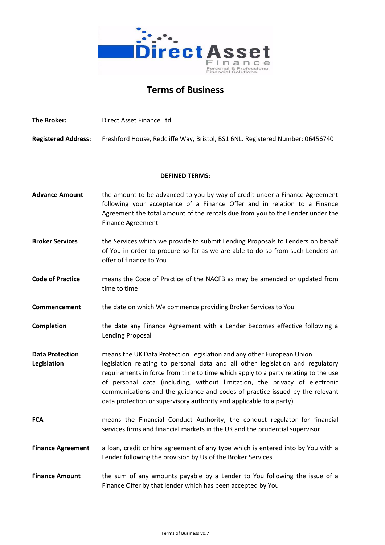

# **Terms of Business**

**The Broker:** Direct Asset Finance Ltd **Registered Address:** Freshford House, Redcliffe Way, Bristol, BS1 6NL. Registered Number: 06456740 **DEFINED TERMS:** Advance Amount the amount to be advanced to you by way of credit under a Finance Agreement following your acceptance of a Finance Offer and in relation to a Finance Agreement the total amount of the rentals due from you to the Lender under the Finance Agreement **Broker Services** the Services which we provide to submit Lending Proposals to Lenders on behalf of You in order to procure so far as we are able to do so from such Lenders an offer of finance to You **Code of Practice** means the Code of Practice of the NACFB as may be amended or updated from time to time **Commencement** the date on which We commence providing Broker Services to You **Completion** the date any Finance Agreement with a Lender becomes effective following a Lending Proposal **Data Protection** means the UK Data Protection Legislation and any other European Union Legislation **legislation** relating to personal data and all other legislation and regulatory requirements in force from time to time which apply to a party relating to the use of personal data (including, without limitation, the privacy of electronic communications and the guidance and codes of practice issued by the relevant data protection or supervisory authority and applicable to a party) **FCA** means the Financial Conduct Authority, the conduct regulator for financial services firms and financial markets in the UK and the prudential supervisor **Finance Agreement** a loan, credit or hire agreement of any type which is entered into by You with a Lender following the provision by Us of the Broker Services **Finance Amount** the sum of any amounts payable by a Lender to You following the issue of a Finance Offer by that lender which has been accepted by You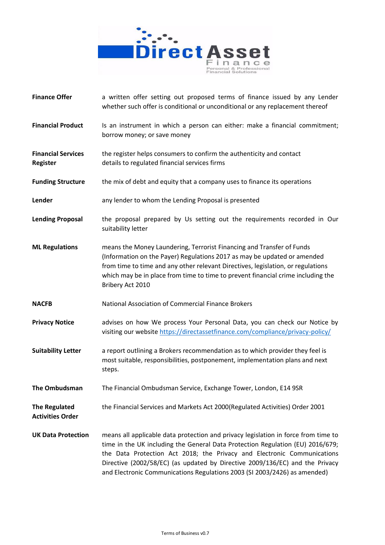

| <b>Finance Offer</b>                            | a written offer setting out proposed terms of finance issued by any Lender<br>whether such offer is conditional or unconditional or any replacement thereof                                                                                                                                                                                                                                                  |
|-------------------------------------------------|--------------------------------------------------------------------------------------------------------------------------------------------------------------------------------------------------------------------------------------------------------------------------------------------------------------------------------------------------------------------------------------------------------------|
| <b>Financial Product</b>                        | Is an instrument in which a person can either: make a financial commitment;<br>borrow money; or save money                                                                                                                                                                                                                                                                                                   |
| <b>Financial Services</b><br><b>Register</b>    | the register helps consumers to confirm the authenticity and contact<br>details to regulated financial services firms                                                                                                                                                                                                                                                                                        |
| <b>Funding Structure</b>                        | the mix of debt and equity that a company uses to finance its operations                                                                                                                                                                                                                                                                                                                                     |
| Lender                                          | any lender to whom the Lending Proposal is presented                                                                                                                                                                                                                                                                                                                                                         |
| <b>Lending Proposal</b>                         | the proposal prepared by Us setting out the requirements recorded in Our<br>suitability letter                                                                                                                                                                                                                                                                                                               |
| <b>ML Regulations</b>                           | means the Money Laundering, Terrorist Financing and Transfer of Funds<br>(Information on the Payer) Regulations 2017 as may be updated or amended<br>from time to time and any other relevant Directives, legislation, or regulations<br>which may be in place from time to time to prevent financial crime including the<br>Bribery Act 2010                                                                |
| <b>NACFB</b>                                    | National Association of Commercial Finance Brokers                                                                                                                                                                                                                                                                                                                                                           |
| <b>Privacy Notice</b>                           | advises on how We process Your Personal Data, you can check our Notice by<br>visiting our website https://directassetfinance.com/compliance/privacy-policy/                                                                                                                                                                                                                                                  |
| <b>Suitability Letter</b>                       | a report outlining a Brokers recommendation as to which provider they feel is<br>most suitable, responsibilities, postponement, implementation plans and next<br>steps.                                                                                                                                                                                                                                      |
| The Ombudsman                                   | The Financial Ombudsman Service, Exchange Tower, London, E14 9SR                                                                                                                                                                                                                                                                                                                                             |
| <b>The Regulated</b><br><b>Activities Order</b> | the Financial Services and Markets Act 2000(Regulated Activities) Order 2001                                                                                                                                                                                                                                                                                                                                 |
| <b>UK Data Protection</b>                       | means all applicable data protection and privacy legislation in force from time to<br>time in the UK including the General Data Protection Regulation (EU) 2016/679;<br>the Data Protection Act 2018; the Privacy and Electronic Communications<br>Directive (2002/58/EC) (as updated by Directive 2009/136/EC) and the Privacy<br>and Electronic Communications Regulations 2003 (SI 2003/2426) as amended) |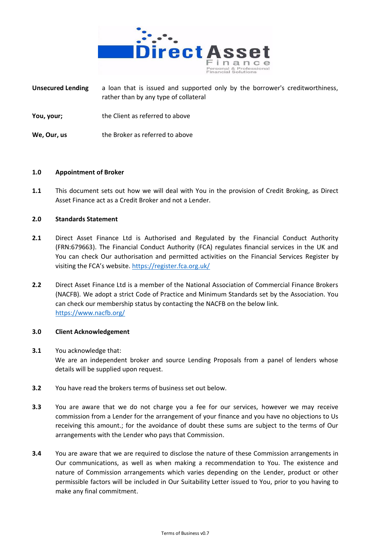

**Unsecured Lending** a loan that is issued and supported only by the borrower's creditworthiness, rather than by any type of collateral

- **You, your;** the Client as referred to above
- **We, Our, us** the Broker as referred to above

## **1.0 Appointment of Broker**

**1.1** This document sets out how we will deal with You in the provision of Credit Broking, as Direct Asset Finance act as a Credit Broker and not a Lender.

# **2.0 Standards Statement**

- **2.1** Direct Asset Finance Ltd is Authorised and Regulated by the Financial Conduct Authority (FRN:679663). The Financial Conduct Authority (FCA) regulates financial services in the UK and You can check Our authorisation and permitted activities on the Financial Services Register by visiting the FCA's website. <https://register.fca.org.uk/>
- **2.2** Direct Asset Finance Ltd is a member of the National Association of Commercial Finance Brokers (NACFB). We adopt a strict Code of Practice and Minimum Standards set by the Association. You can check our membership status by contacting the NACFB on the below link. <https://www.nacfb.org/>

#### **3.0 Client Acknowledgement**

- **3.1** You acknowledge that: We are an independent broker and source Lending Proposals from a panel of lenders whose details will be supplied upon request.
- **3.2** You have read the brokers terms of business set out below.
- **3.3** You are aware that we do not charge you a fee for our services, however we may receive commission from a Lender for the arrangement of your finance and you have no objections to Us receiving this amount.; for the avoidance of doubt these sums are subject to the terms of Our arrangements with the Lender who pays that Commission.
- **3.4** You are aware that we are required to disclose the nature of these Commission arrangements in Our communications, as well as when making a recommendation to You. The existence and nature of Commission arrangements which varies depending on the Lender, product or other permissible factors will be included in Our Suitability Letter issued to You, prior to you having to make any final commitment.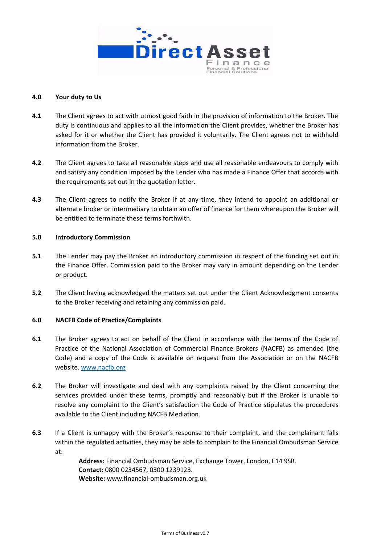

## **4.0 Your duty to Us**

- **4.1** The Client agrees to act with utmost good faith in the provision of information to the Broker. The duty is continuous and applies to all the information the Client provides, whether the Broker has asked for it or whether the Client has provided it voluntarily. The Client agrees not to withhold information from the Broker.
- **4.2** The Client agrees to take all reasonable steps and use all reasonable endeavours to comply with and satisfy any condition imposed by the Lender who has made a Finance Offer that accords with the requirements set out in the quotation letter.
- **4.3** The Client agrees to notify the Broker if at any time, they intend to appoint an additional or alternate broker or intermediary to obtain an offer of finance for them whereupon the Broker will be entitled to terminate these terms forthwith.

## **5.0 Introductory Commission**

- **5.1** The Lender may pay the Broker an introductory commission in respect of the funding set out in the Finance Offer. Commission paid to the Broker may vary in amount depending on the Lender or product.
- **5.2** The Client having acknowledged the matters set out under the Client Acknowledgment consents to the Broker receiving and retaining any commission paid.

#### **6.0 NACFB Code of Practice/Complaints**

- **6.1** The Broker agrees to act on behalf of the Client in accordance with the terms of the Code of Practice of the National Association of Commercial Finance Brokers (NACFB) as amended (the Code) and a copy of the Code is available on request from the Association or on the NACFB website. [www.nacfb.org](http://www.nacfb.org/)
- **6.2** The Broker will investigate and deal with any complaints raised by the Client concerning the services provided under these terms, promptly and reasonably but if the Broker is unable to resolve any complaint to the Client's satisfaction the Code of Practice stipulates the procedures available to the Client including NACFB Mediation.
- **6.3** If a Client is unhappy with the Broker's response to their complaint, and the complainant falls within the regulated activities, they may be able to complain to the Financial Ombudsman Service at:

**Address:** Financial Ombudsman Service, Exchange Tower, London, E14 9SR. **Contact:** 0800 0234567, 0300 1239123. **Website:** [www.financial-ombudsman.org.uk](http://www.financial-ombudsman.org.uk/)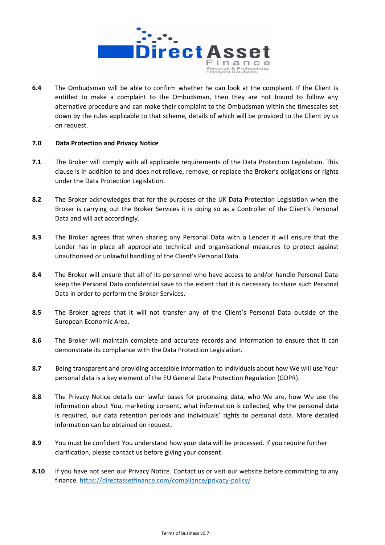

**6.4** The Ombudsman will be able to confirm whether he can look at the complaint. If the Client is entitled to make a complaint to the Ombudsman, then they are not bound to follow any alternative procedure and can make their complaint to the Ombudsman within the timescales set down by the rules applicable to that scheme, details of which will be provided to the Client by us on request.

## **7.0 Data Protection and Privacy Notice**

- **7.1** The Broker will comply with all applicable requirements of the Data Protection Legislation. This clause is in addition to and does not relieve, remove, or replace the Broker's obligations or rights under the Data Protection Legislation.
- **8.2** The Broker acknowledges that for the purposes of the UK Data Protection Legislation when the Broker is carrying out the Broker Services it is doing so as a Controller of the Client's Personal Data and will act accordingly.
- **8.3** The Broker agrees that when sharing any Personal Data with a Lender it will ensure that the Lender has in place all appropriate technical and organisational measures to protect against unauthorised or unlawful handling of the Client's Personal Data.
- **8.4** The Broker will ensure that all of its personnel who have access to and/or handle Personal Data keep the Personal Data confidential save to the extent that it is necessary to share such Personal Data in order to perform the Broker Services.
- **8.5** The Broker agrees that it will not transfer any of the Client's Personal Data outside of the European Economic Area.
- **8.6** The Broker will maintain complete and accurate records and information to ensure that it can demonstrate its compliance with the Data Protection Legislation.
- **8.7** Being transparent and providing accessible information to individuals about how We will use Your personal data is a key element of the EU General Data Protection Regulation (GDPR).
- **8.8** The Privacy Notice details our lawful bases for processing data, who We are, how We use the information about You, marketing consent, what information is collected, why the personal data is required, our data retention periods and individuals' rights to personal data. More detailed information can be obtained on request.
- **8.9** You must be confident You understand how your data will be processed. If you require further clarification, please contact us before giving your consent.
- **8.10** If you have not seen our Privacy Notice. Contact us or visit our website before committing to any finance. <https://directassetfinance.com/compliance/privacy-policy/>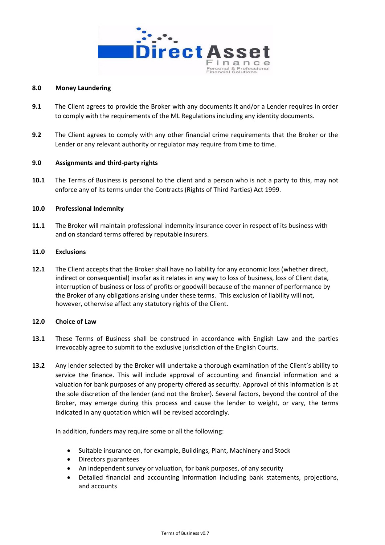

#### **8.0 Money Laundering**

- **9.1** The Client agrees to provide the Broker with any documents it and/or a Lender requires in order to comply with the requirements of the ML Regulations including any identity documents.
- **9.2** The Client agrees to comply with any other financial crime requirements that the Broker or the Lender or any relevant authority or regulator may require from time to time.

## **9.0 Assignments and third-party rights**

**10.1** The Terms of Business is personal to the client and a person who is not a party to this, may not enforce any of its terms under the Contracts (Rights of Third Parties) Act 1999.

# **10.0 Professional Indemnity**

**11.1** The Broker will maintain professional indemnity insurance cover in respect of its business with and on standard terms offered by reputable insurers.

# **11.0 Exclusions**

**12.1** The Client accepts that the Broker shall have no liability for any economic loss (whether direct, indirect or consequential) insofar as it relates in any way to loss of business, loss of Client data, interruption of business or loss of profits or goodwill because of the manner of performance by the Broker of any obligations arising under these terms. This exclusion of liability will not, however, otherwise affect any statutory rights of the Client.

#### **12.0 Choice of Law**

- **13.1** These Terms of Business shall be construed in accordance with English Law and the parties irrevocably agree to submit to the exclusive jurisdiction of the English Courts.
- **13.2** Any lender selected by the Broker will undertake a thorough examination of the Client's ability to service the finance. This will include approval of accounting and financial information and a valuation for bank purposes of any property offered as security. Approval of this information is at the sole discretion of the lender (and not the Broker). Several factors, beyond the control of the Broker, may emerge during this process and cause the lender to weight, or vary, the terms indicated in any quotation which will be revised accordingly.

In addition, funders may require some or all the following:

- Suitable insurance on, for example, Buildings, Plant, Machinery and Stock
- Directors guarantees
- An independent survey or valuation, for bank purposes, of any security
- Detailed financial and accounting information including bank statements, projections, and accounts